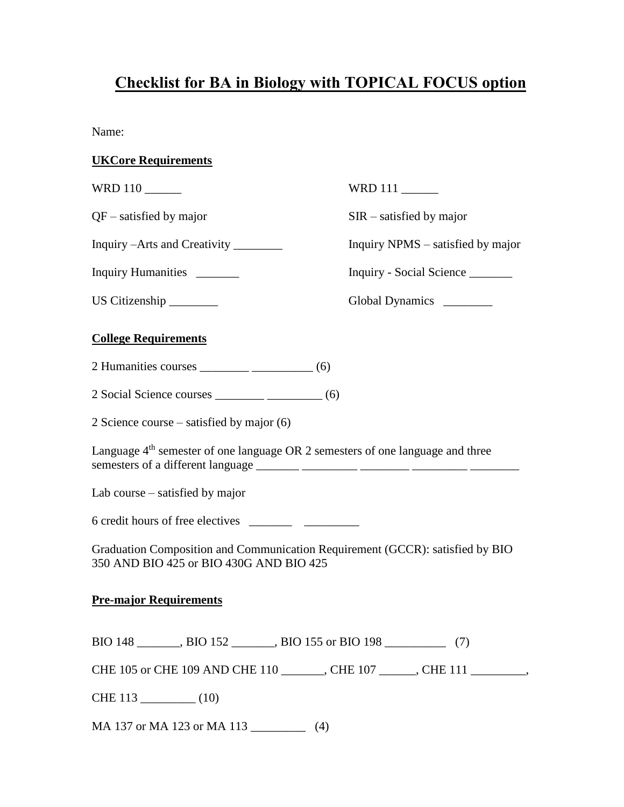## **Checklist for BA in Biology with TOPICAL FOCUS option**

Name:

## **UKCore Requirements**

| WRD 110                                                                                                                  | WRD 111                           |
|--------------------------------------------------------------------------------------------------------------------------|-----------------------------------|
| $QF$ – satisfied by major                                                                                                | $SIR -$ satisfied by major        |
| Inquiry – Arts and Creativity ________                                                                                   | Inquiry NPMS – satisfied by major |
| Inquiry Humanities ________                                                                                              | Inquiry - Social Science          |
| US Citizenship                                                                                                           | Global Dynamics _______           |
| <b>College Requirements</b>                                                                                              |                                   |
|                                                                                                                          |                                   |
|                                                                                                                          |                                   |
| 2 Science course – satisfied by major $(6)$                                                                              |                                   |
| Language $4th$ semester of one language OR 2 semesters of one language and three                                         |                                   |
| Lab course – satisfied by major                                                                                          |                                   |
|                                                                                                                          |                                   |
| Graduation Composition and Communication Requirement (GCCR): satisfied by BIO<br>350 AND BIO 425 or BIO 430G AND BIO 425 |                                   |
| <b>Pre-major Requirements</b>                                                                                            |                                   |
|                                                                                                                          |                                   |
| CHE 105 or CHE 109 AND CHE 110 ________, CHE 107 ______, CHE 111 ________,                                               |                                   |

CHE 113 \_\_\_\_\_\_\_\_\_ (10)

MA 137 or MA 123 or MA 113 \_\_\_\_\_\_\_\_\_\_\_\_\_ (4)